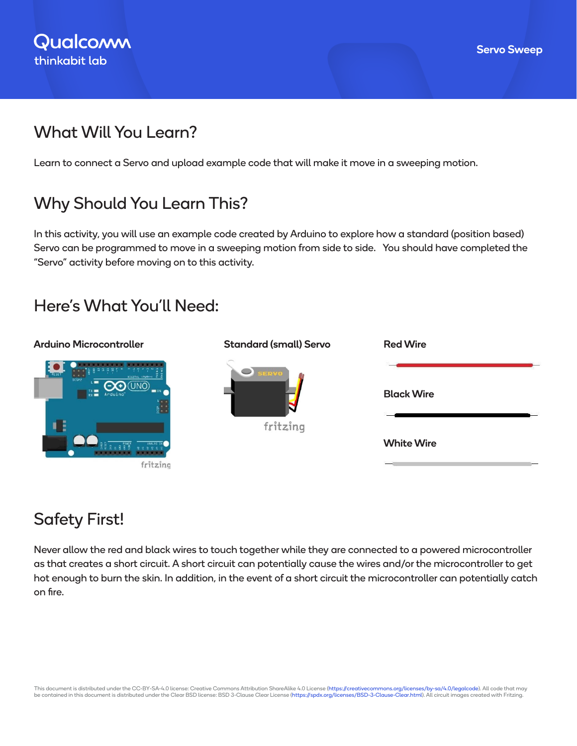# What Will You Learn?

Learn to connect a Servo and upload example code that will make it move in a sweeping motion.

# Why Should You Learn This?

In this activity, you will use an example code created by Arduino to explore how a standard (position based) Servo can be programmed to move in a sweeping motion from side to side. You should have completed the "Servo" activity before moving on to this activity.

### Here's What You'll Need:

| <b>Arduino Microcontroller</b> | <b>Standard (small) Servo</b> | <b>Red Wire</b>   |  |
|--------------------------------|-------------------------------|-------------------|--|
| <b>BIGITAL (PUM=-)</b>         |                               |                   |  |
| <b>ICSP3</b><br>Arduino"       |                               | <b>Black Wire</b> |  |
|                                | fritzing                      |                   |  |
|                                |                               | <b>White Wire</b> |  |
| fritzing                       |                               |                   |  |

### Safety First!

Never allow the red and black wires to touch together while they are connected to a powered microcontroller as that creates a short circuit. A short circuit can potentially cause the wires and/or the microcontroller to get hot enough to burn the skin. In addition, in the event of a short circuit the microcontroller can potentially catch on fire.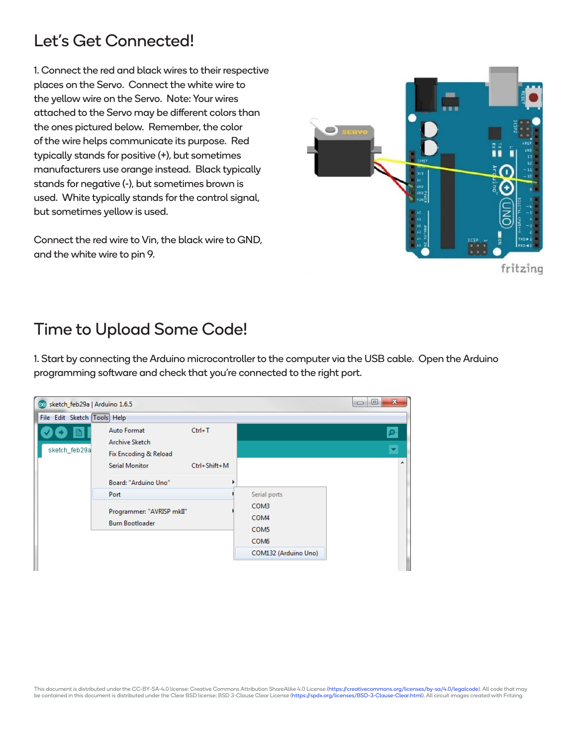### Let's Get Connected!

1. Connect the red and black wires to their respective places on the Servo. Connect the white wire to the yellow wire on the Servo. Note: Your wires attached to the Servo may be different colors than the ones pictured below. Remember, the color of the wire helps communicate its purpose. Red typically stands for positive (+), but sometimes manufacturers use orange instead. Black typically stands for negative (-), but sometimes brown is used. White typically stands for the control signal, but sometimes yellow is used.

Connect the red wire to Vin, the black wire to GND, and the white wire to pin 9.



fritzing

# Time to Upload Some Code!

1. Start by connecting the Arduino microcontroller to the computer via the USB cable. Open the Arduino programming software and check that you're connected to the right port.

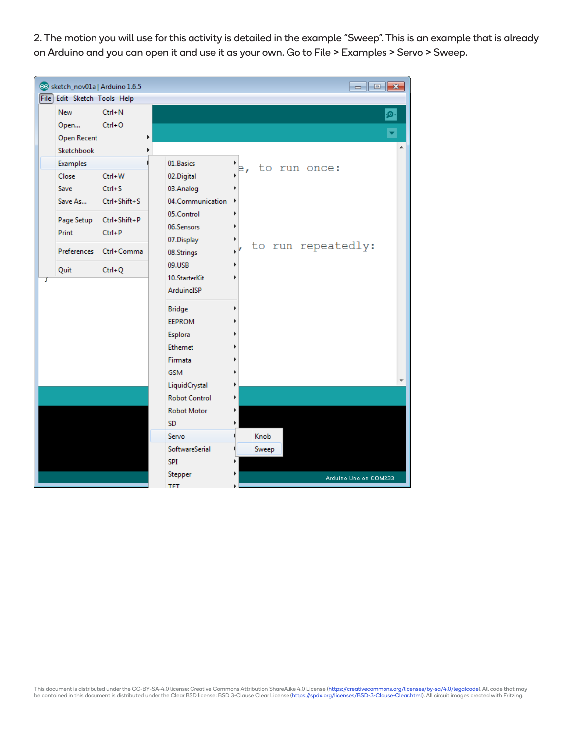2. The motion you will use for this activity is detailed in the example "Sweep". This is an example that is already on Arduino and you can open it and use it as your own. Go to File > Examples > Servo > Sweep.

|                             | So sketch_nov01a   Arduino 1.6.5 |                       | $\Box$ $\Box$ $\mathbf{x}$ |
|-----------------------------|----------------------------------|-----------------------|----------------------------|
| File Edit Sketch Tools Help |                                  |                       |                            |
| New                         | $Ctrl + N$                       |                       | p.                         |
| Open                        | $Ctrl + O$                       |                       |                            |
| Open Recent                 |                                  |                       |                            |
| Sketchbook                  |                                  |                       | ▲                          |
| <b>Examples</b>             |                                  | 01.Basics             | to run once:<br>Þ,         |
| Close                       | $Ctrl + W$                       | 02.Digital            |                            |
| Save                        | $Ctrl + S$                       | 03.Analog             |                            |
| Save As                     | Ctrl+Shift+S                     | 04.Communication      |                            |
| Page Setup                  | Ctrl+Shift+P                     | 05.Control            |                            |
| Print                       | $Ctrl + P$                       | 06.Sensors            |                            |
|                             |                                  | 07.Display            |                            |
| Preferences                 | Ctrl+Comma                       | 08.Strings            | to run repeatedly:         |
| Quit                        | $Ctrl + Q$                       | 09.USB                |                            |
|                             |                                  | 10.StarterKit         |                            |
|                             |                                  | ArduinoISP            |                            |
|                             |                                  | <b>Bridge</b>         |                            |
|                             |                                  | <b>EEPROM</b>         |                            |
|                             |                                  | Esplora               |                            |
|                             |                                  | <b>Ethernet</b>       |                            |
|                             |                                  | Firmata               |                            |
|                             |                                  | <b>GSM</b>            |                            |
|                             |                                  | LiquidCrystal         |                            |
|                             |                                  | <b>Robot Control</b>  |                            |
|                             |                                  | <b>Robot Motor</b>    |                            |
|                             |                                  | <b>SD</b>             |                            |
|                             |                                  | Servo                 | Knob                       |
|                             |                                  | <b>SoftwareSerial</b> | Sweep                      |
|                             |                                  | <b>SPI</b>            |                            |
|                             |                                  | Stepper               | Arduino Uno on COM233      |
|                             |                                  | <b>TET</b>            |                            |

This document is distributed under the CC-BY-SA-4.0 license: Creative Commons Attribution ShareAlike 4.0 License (https://creativecommons.org/licenses/by-sa/4.0/legalcode). All code that may<br>be contained in this document i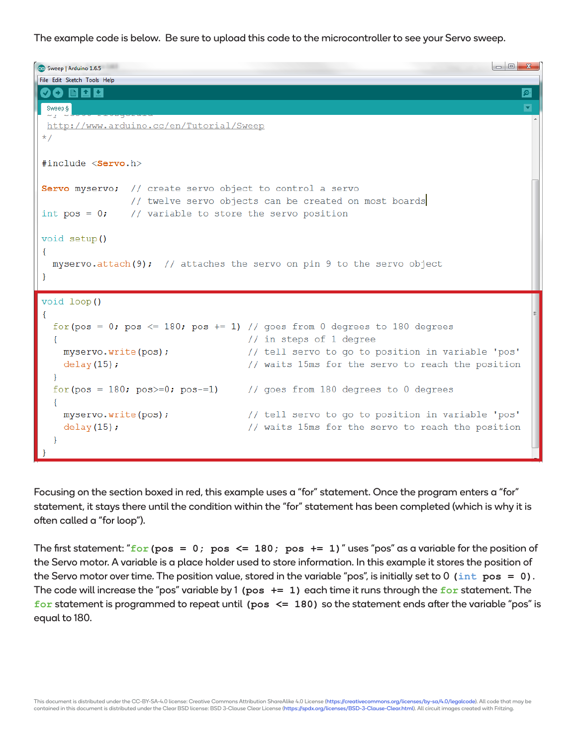The example code is below. Be sure to upload this code to the microcontroller to see your Servo sweep.

```
Co Sweep | Arduino 1.6.5
File Edit Sketch Tools Help
 00 B B B
                                                                                               ٠Ø
 Sweep §
 http://www.arduino.cc/en/Tutorial/Sweep
 \star /
 #include <Servo.h>
 Servo myservo; // create servo object to control a servo
                  // twelve servo objects can be created on most boards
 int pos = 0; // variable to store the servo position
 void setup()
 \mathcal{L}myservo.attach(9); // attaches the servo on pin 9 to the servo object
 \mathcal{F}void loop()
   for (pos = 0; pos <= 180; pos += 1) // goes from 0 degrees to 180 degrees
                                        // in steps of 1 degree
   \overline{A}// tell servo to go to position in variable 'pos'
     myservo.write(pos);
                                       // waits 15ms for the servo to reach the position
     delay(15);
   ₿
   for (pos = 180; pos>=0; pos-=1) // goes from 180 degrees to 0 degrees
   \mathcal{L}myservo.write(pos);
                                       // tell servo to go to position in variable 'pos'
     delay(15);// waits 15ms for the servo to reach the position
   \mathcal{E}
```
Focusing on the section boxed in red, this example uses a "for" statement. Once the program enters a "for" statement, it stays there until the condition within the "for" statement has been completed (which is why it is often called a "for loop").

The first statement: " $for (pos = 0; pos \le 180; pos += 1)$ " uses "pos" as a variable for the position of the Servo motor. A variable is a place holder used to store information. In this example it stores the position of the Servo motor over time. The position value, stored in the variable "pos", is initially set to 0 **(int pos = 0)**. The code will increase the "pos" variable by 1 **(pos += 1)** each time it runs through the **for** statement. The **for** statement is programmed to repeat until **(pos <= 180)** so the statement ends after the variable "pos" is equal to 180.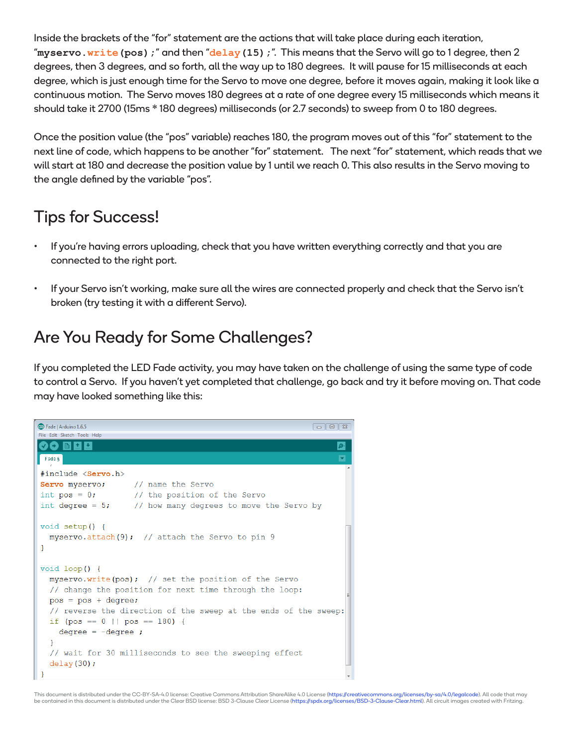Inside the brackets of the "for" statement are the actions that will take place during each iteration, "**myservo.write(pos);**" and then "**delay(15);**". This means that the Servo will go to 1 degree, then 2 degrees, then 3 degrees, and so forth, all the way up to 180 degrees. It will pause for 15 milliseconds at each degree, which is just enough time for the Servo to move one degree, before it moves again, making it look like a continuous motion. The Servo moves 180 degrees at a rate of one degree every 15 milliseconds which means it should take it 2700 (15ms \* 180 degrees) milliseconds (or 2.7 seconds) to sweep from 0 to 180 degrees.

Once the position value (the "pos" variable) reaches 180, the program moves out of this "for" statement to the next line of code, which happens to be another "for" statement. The next "for" statement, which reads that we will start at 180 and decrease the position value by 1 until we reach 0. This also results in the Servo moving to the angle defined by the variable "pos".

### Tips for Success!

- If you're having errors uploading, check that you have written everything correctly and that you are connected to the right port.
- If your Servo isn't working, make sure all the wires are connected properly and check that the Servo isn't broken (try testing it with a different Servo).

# Are You Ready for Some Challenges?

If you completed the LED Fade activity, you may have taken on the challenge of using the same type of code to control a Servo. If you haven't yet completed that challenge, go back and try it before moving on. That code may have looked something like this:

| © Fade   Arduino 1.6.5<br>$\Box$                                | $\Box$<br>$\mathbb{Z}$ |  |  |  |
|-----------------------------------------------------------------|------------------------|--|--|--|
| File Edit Sketch Tools Help                                     |                        |  |  |  |
| $\mathbf{O}$ be the $\mathbf{L}$                                | ۰ءِ                    |  |  |  |
| Fade §                                                          |                        |  |  |  |
| #include <servo.h></servo.h>                                    |                        |  |  |  |
| <b>Servo</b> myservo; // name the Servo                         |                        |  |  |  |
| int $pos = 0$ ; // the position of the Servo                    |                        |  |  |  |
| int degree $= 5$ ; // how many degrees to move the Servo by     |                        |  |  |  |
|                                                                 |                        |  |  |  |
| void setup $()$ {                                               |                        |  |  |  |
| myservo.attach(9); // attach the Servo to pin 9                 |                        |  |  |  |
| ł                                                               |                        |  |  |  |
|                                                                 |                        |  |  |  |
| $void loop()$ {                                                 |                        |  |  |  |
| myservo.write(pos); // set the position of the Servo            |                        |  |  |  |
| // change the position for next time through the loop:          |                        |  |  |  |
| $pos = pos + degree;$                                           |                        |  |  |  |
| // reverse the direction of the sweep at the ends of the sweep: |                        |  |  |  |
| if (pos == $0$    pos == 180) {                                 |                        |  |  |  |
| $degree = -degree$ ;                                            |                        |  |  |  |
| ł                                                               |                        |  |  |  |
| // wait for 30 milliseconds to see the sweeping effect          |                        |  |  |  |
| delay(30);                                                      |                        |  |  |  |
| ł                                                               |                        |  |  |  |

This document is distributed under the CC-BY-SA-4.0 license: Creative Commons Attribution ShareAlike 4.0 License (https://creativecommons.org/licenses/by-sa/4.0/legalcode). All code that may be contained in this document is distributed under the Clear BSD license: BSD 3-Clause Clear License (https://spdx.org/licenses/BSD-3-Clause-Clear.html). All circuit images created with Fritzing.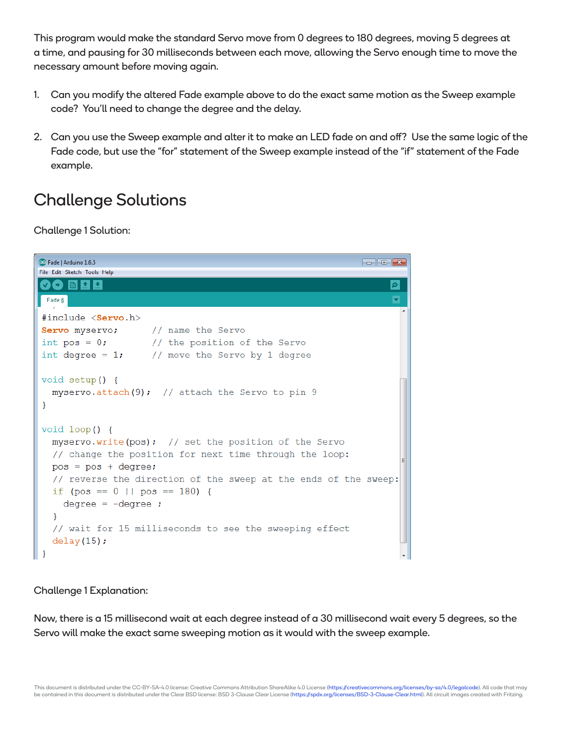This program would make the standard Servo move from 0 degrees to 180 degrees, moving 5 degrees at a time, and pausing for 30 milliseconds between each move, allowing the Servo enough time to move the necessary amount before moving again.

- 1. Can you modify the altered Fade example above to do the exact same motion as the Sweep example code? You'll need to change the degree and the delay.
- 2. Can you use the Sweep example and alter it to make an LED fade on and off? Use the same logic of the Fade code, but use the "for" statement of the Sweep example instead of the "if" statement of the Fade example.

### Challenge Solutions

Challenge 1 Solution:

```
© Fade | Arduino 1.6.5
                                                                \boxed{\phantom{a}}File Edit Sketch Tools Help
  O B A LI
 Fade §
#include <Servo.h>
Servo myservo;
                    // name the Servo
int pos = 0;
                      // the position of the Servo
int degree = 1;
                    // move the Servo by 1 degree
void setup() {
  myservo.attach(9); // attach the Servo to pin 9
\mathcal{F}void loop() {
  myservo.write(pos); // set the position of the Servo
  // change the position for next time through the loop:
  pos = pos + degree;// reverse the direction of the sweep at the ends of the sweep:
  if (pos == 0 || pos == 180) {
    degree = -degree;
  \mathcal{F}// wait for 15 milliseconds to see the sweeping effect
  delay(15);
```
#### Challenge 1 Explanation:

Now, there is a 15 millisecond wait at each degree instead of a 30 millisecond wait every 5 degrees, so the Servo will make the exact same sweeping motion as it would with the sweep example.